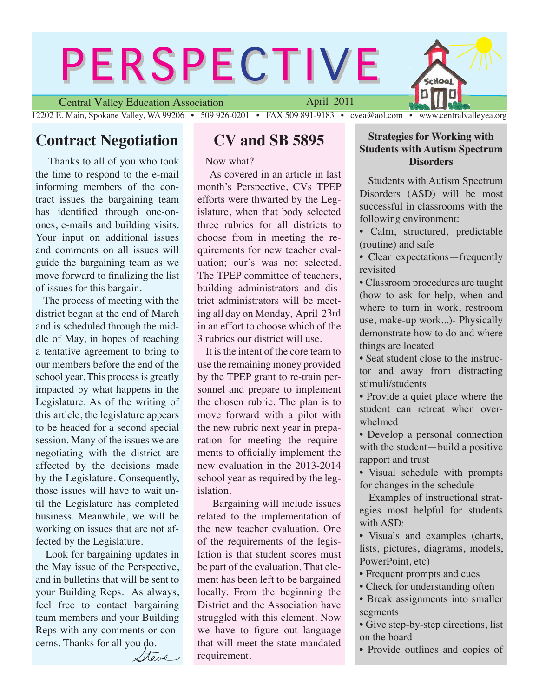## **PERSPECTIVE** chool Central Valley Education Association April 2011

12202 E. Main, Spokane Valley, WA 99206 • 509 926-0201 • FAX 509 891-9183 • cvea@aol.com • www.centralvalleyea.org

## **Contract Negotiation**

 Thanks to all of you who took the time to respond to the e-mail informing members of the contract issues the bargaining team has identified through one-onones, e-mails and building visits. Your input on additional issues and comments on all issues will guide the bargaining team as we move forward to finalizing the list of issues for this bargain.

 The process of meeting with the district began at the end of March and is scheduled through the middle of May, in hopes of reaching a tentative agreement to bring to our members before the end of the school year. This process is greatly impacted by what happens in the Legislature. As of the writing of this article, the legislature appears to be headed for a second special session. Many of the issues we are negotiating with the district are affected by the decisions made by the Legislature. Consequently, those issues will have to wait until the Legislature has completed business. Meanwhile, we will be working on issues that are not affected by the Legislature.

 Look for bargaining updates in the May issue of the Perspective, and in bulletins that will be sent to your Building Reps. As always, feel free to contact bargaining team members and your Building Reps with any comments or concerns. Thanks for all you do.

Steve

### **CV and SB 5895**

Now what?

 As covered in an article in last month's Perspective, CVs TPEP efforts were thwarted by the Legislature, when that body selected three rubrics for all districts to choose from in meeting the requirements for new teacher evaluation; our's was not selected. The TPEP committee of teachers, building administrators and district administrators will be meeting all day on Monday, April 23rd in an effort to choose which of the 3 rubrics our district will use.

 It is the intent of the core team to use the remaining money provided by the TPEP grant to re-train personnel and prepare to implement the chosen rubric. The plan is to move forward with a pilot with the new rubric next year in preparation for meeting the requirements to officially implement the new evaluation in the 2013-2014 school year as required by the legislation.

 Bargaining will include issues related to the implementation of the new teacher evaluation. One of the requirements of the legislation is that student scores must be part of the evaluation. That element has been left to be bargained locally. From the beginning the District and the Association have struggled with this element. Now we have to figure out language that will meet the state mandated requirement.

#### **Strategies for Working with Students with Autism Spectrum Disorders**

**Students with Autism Spectrum** Disorders (ASD) will be most successful in classrooms with the following environment:

- Calm, structured, predictable (routine) and safe
- Clear expectations—frequently revisited
- Classroom procedures are taught (how to ask for help, when and where to turn in work, restroom use, make-up work...)- Physically demonstrate how to do and where things are located
- Seat student close to the instructor and away from distracting stimuli/students
- Provide a quiet place where the student can retreat when overwhelmed
- Develop a personal connection with the student—build a positive rapport and trust
- Visual schedule with prompts for changes in the schedule

 Examples of instructional strategies most helpful for students with ASD:

• Visuals and examples (charts, lists, pictures, diagrams, models, PowerPoint, etc)

• Frequent prompts and cues

• Check for understanding often

• Break assignments into smaller segments

• Give step-by-step directions, list on the board

• Provide outlines and copies of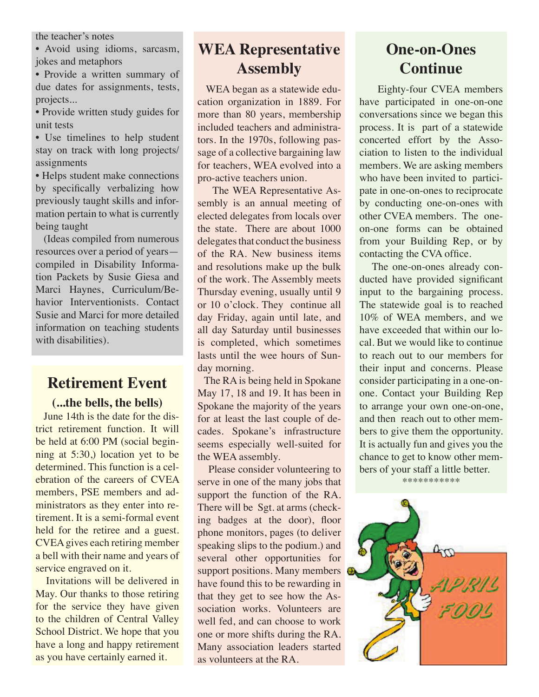the teacher's notes

• Avoid using idioms, sarcasm, jokes and metaphors

• Provide a written summary of due dates for assignments, tests, projects...

• Provide written study guides for unit tests

• Use timelines to help student stay on track with long projects/ assignments

• Helps student make connections by specifically verbalizing how previously taught skills and information pertain to what is currently being taught

 (Ideas compiled from numerous resources over a period of years compiled in Disability Information Packets by Susie Giesa and Marci Haynes, Curriculum/Behavior Interventionists. Contact Susie and Marci for more detailed information on teaching students with disabilities).

### **Retirement Event**

**(...the bells, the bells)**

 June 14th is the date for the district retirement function. It will be held at 6:00 PM (social beginning at 5:30,) location yet to be determined. This function is a celebration of the careers of CVEA members, PSE members and administrators as they enter into retirement. It is a semi-formal event held for the retiree and a guest. CVEA gives each retiring member a bell with their name and years of service engraved on it.

 Invitations will be delivered in May. Our thanks to those retiring for the service they have given to the children of Central Valley School District. We hope that you have a long and happy retirement as you have certainly earned it.

### **WEA Representative Assembly**

 WEA began as a statewide education organization in 1889. For more than 80 years, membership included teachers and administrators. In the 1970s, following passage of a collective bargaining law for teachers, WEA evolved into a pro-active teachers union.

 The WEA Representative Assembly is an annual meeting of elected delegates from locals over the state. There are about 1000 delegates that conduct the business of the RA. New business items and resolutions make up the bulk of the work. The Assembly meets Thursday evening, usually until 9 or 10 o'clock. They continue all day Friday, again until late, and all day Saturday until businesses is completed, which sometimes lasts until the wee hours of Sunday morning.

 The RA is being held in Spokane May 17, 18 and 19. It has been in Spokane the majority of the years for at least the last couple of decades. Spokane's infrastructure seems especially well-suited for the WEA assembly.

 Please consider volunteering to serve in one of the many jobs that support the function of the RA. There will be Sgt. at arms (checking badges at the door), floor phone monitors, pages (to deliver speaking slips to the podium.) and several other opportunities for support positions. Many members C have found this to be rewarding in that they get to see how the Association works. Volunteers are well fed, and can choose to work one or more shifts during the RA. Many association leaders started as volunteers at the RA.

# **One-on-Ones Continue**

 Eighty-four CVEA members have participated in one-on-one conversations since we began this process. It is part of a statewide concerted effort by the Association to listen to the individual members. We are asking members who have been invited to participate in one-on-ones to reciprocate by conducting one-on-ones with other CVEA members. The oneon-one forms can be obtained from your Building Rep, or by contacting the CVA office.

 The one-on-ones already conducted have provided significant input to the bargaining process. The statewide goal is to reached 10% of WEA members, and we have exceeded that within our local. But we would like to continue to reach out to our members for their input and concerns. Please consider participating in a one-onone. Contact your Building Rep to arrange your own one-on-one, and then reach out to other members to give them the opportunity. It is actually fun and gives you the chance to get to know other members of your staff a little better.

\*\*\*\*\*\*\*\*\*\*\*

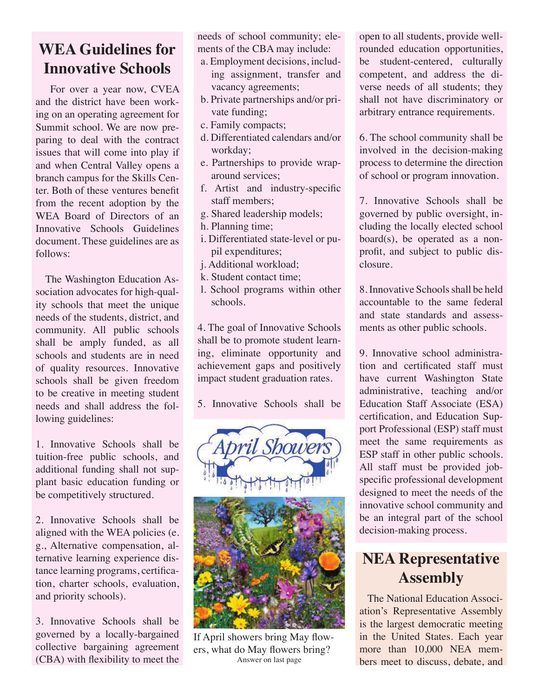# **WEA Guidelines for Innovative Schools**

 For over a year now, CVEA and the district have been working on an operating agreement for Summit school. We are now preparing to deal with the contract issues that will come into play if and when Central Valley opens a branch campus for the Skills Center. Both of these ventures benefit from the recent adoption by the WEA Board of Directors of an Innovative Schools Guidelines document. These guidelines are as follows:

 The Washington Education Association advocates for high-quality schools that meet the unique needs of the students, district, and community. All public schools shall be amply funded, as all schools and students are in need of quality resources. Innovative schools shall be given freedom to be creative in meeting student needs and shall address the following guidelines:

1. Innovative Schools shall be tuition-free public schools, and additional funding shall not supplant basic education funding or be competitively structured.

2. Innovative Schools shall be aligned with the WEA policies (e. g., Alternative compensation, alternative learning experience distance learning programs, certification, charter schools, evaluation, and priority schools).

3. Innovative Schools shall be governed by a locally-bargained collective bargaining agreement (CBA) with flexibility to meet the needs of school community; elements of the CBA may include:

- a. Employment decisions, including assignment, transfer and vacancy agreements;
- b. Private partnerships and/or private funding;
- c. Family compacts;
- d. Differentiated calendars and/or workday;
- e. Partnerships to provide wraparound services;
- f. Artist and industry-specific staff members;
- g. Shared leadership models;
- h. Planning time;
- i. Differentiated state-level or pupil expenditures;
- j. Additional workload;
- k. Student contact time;
- l. School programs within other schools.

4. The goal of Innovative Schools shall be to promote student learning, eliminate opportunity and achievement gaps and positively impact student graduation rates.

5. Innovative Schools shall be



If April showers bring May flowers, what do May flowers bring? Answer on last page

open to all students, provide wellrounded education opportunities, be student-centered, culturally competent, and address the diverse needs of all students; they shall not have discriminatory or arbitrary entrance requirements.

6. The school community shall be involved in the decision-making process to determine the direction of school or program innovation.

7. Innovative Schools shall be governed by public oversight, including the locally elected school board(s), be operated as a nonprofit, and subject to public disclosure.

8. Innovative Schools shall be held accountable to the same federal and state standards and assessments as other public schools.

9. Innovative school administration and certificated staff must have current Washington State administrative, teaching and/or Education Staff Associate (ESA) certification, and Education Support Professional (ESP) staff must meet the same requirements as ESP staff in other public schools. All staff must be provided jobspecific professional development designed to meet the needs of the innovative school community and be an integral part of the school decision-making process.

# **NEA Representative Assembly**

 The National Education Association's Representative Assembly is the largest democratic meeting in the United States. Each year more than 10,000 NEA members meet to discuss, debate, and